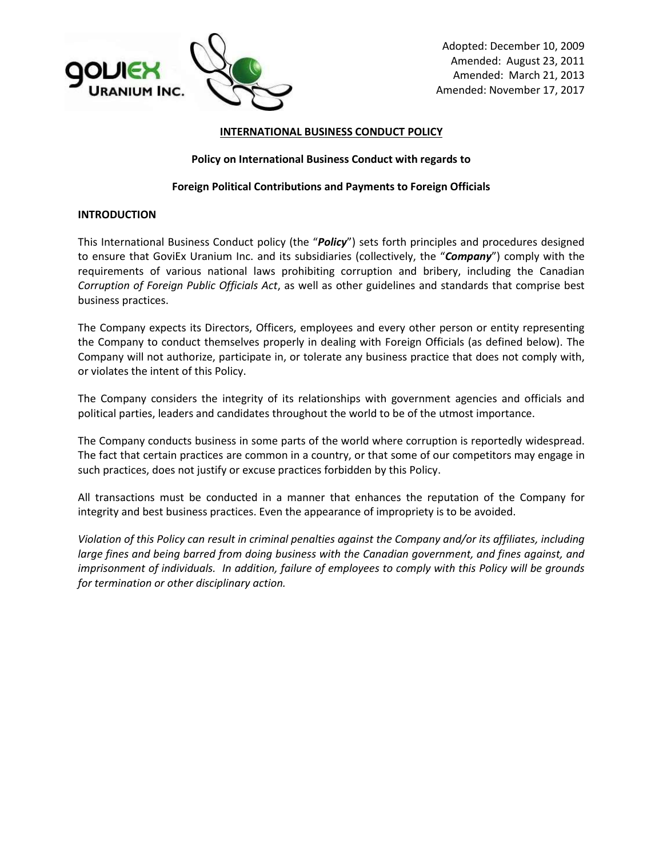

#### **INTERNATIONAL BUSINESS CONDUCT POLICY**

#### **Policy on International Business Conduct with regards to**

#### **Foreign Political Contributions and Payments to Foreign Officials**

#### **INTRODUCTION**

This International Business Conduct policy (the "*Policy*") sets forth principles and procedures designed to ensure that GoviEx Uranium Inc. and its subsidiaries (collectively, the "*Company*") comply with the requirements of various national laws prohibiting corruption and bribery, including the Canadian *Corruption of Foreign Public Officials Act*, as well as other guidelines and standards that comprise best business practices.

The Company expects its Directors, Officers, employees and every other person or entity representing the Company to conduct themselves properly in dealing with Foreign Officials (as defined below). The Company will not authorize, participate in, or tolerate any business practice that does not comply with, or violates the intent of this Policy.

The Company considers the integrity of its relationships with government agencies and officials and political parties, leaders and candidates throughout the world to be of the utmost importance.

The Company conducts business in some parts of the world where corruption is reportedly widespread. The fact that certain practices are common in a country, or that some of our competitors may engage in such practices, does not justify or excuse practices forbidden by this Policy.

All transactions must be conducted in a manner that enhances the reputation of the Company for integrity and best business practices. Even the appearance of impropriety is to be avoided.

*Violation of this Policy can result in criminal penalties against the Company and/or its affiliates, including large fines and being barred from doing business with the Canadian government, and fines against, and imprisonment of individuals. In addition, failure of employees to comply with this Policy will be grounds for termination or other disciplinary action.*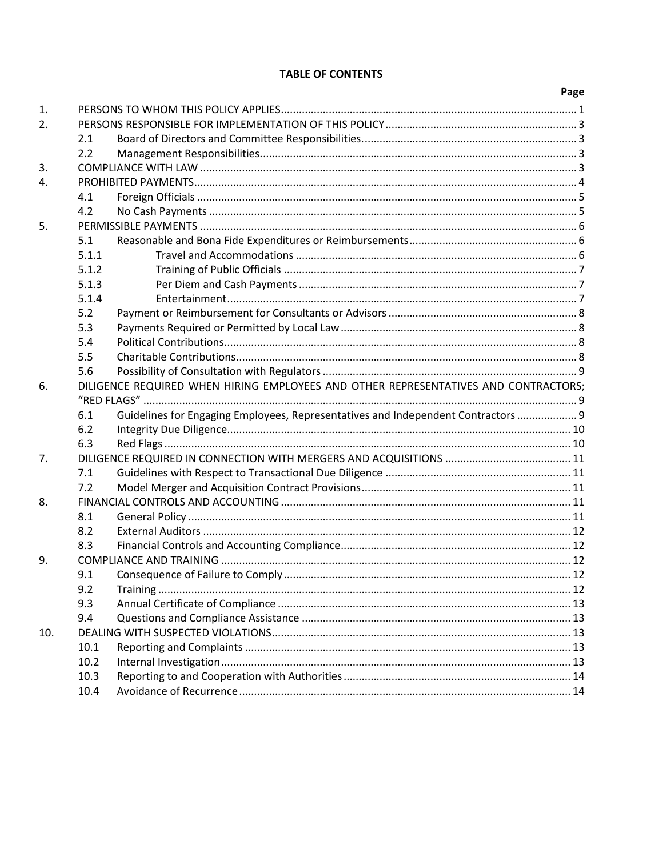# **TABLE OF CONTENTS**

|     |                                                                                     |                                                                                   | Page |
|-----|-------------------------------------------------------------------------------------|-----------------------------------------------------------------------------------|------|
| 1.  |                                                                                     |                                                                                   |      |
| 2.  |                                                                                     |                                                                                   |      |
|     | 2.1                                                                                 |                                                                                   |      |
|     | 2.2                                                                                 |                                                                                   |      |
| 3.  |                                                                                     |                                                                                   |      |
| 4.  |                                                                                     |                                                                                   |      |
|     | 4.1                                                                                 |                                                                                   |      |
|     | 4.2                                                                                 |                                                                                   |      |
| 5.  |                                                                                     |                                                                                   |      |
|     | 5.1                                                                                 |                                                                                   |      |
|     | 5.1.1                                                                               |                                                                                   |      |
|     | 5.1.2                                                                               |                                                                                   |      |
|     | 5.1.3                                                                               |                                                                                   |      |
|     | 5.1.4                                                                               |                                                                                   |      |
|     | 5.2                                                                                 |                                                                                   |      |
|     | 5.3                                                                                 |                                                                                   |      |
|     | 5.4                                                                                 |                                                                                   |      |
|     | 5.5                                                                                 |                                                                                   |      |
|     | 5.6                                                                                 |                                                                                   |      |
| 6.  | DILIGENCE REQUIRED WHEN HIRING EMPLOYEES AND OTHER REPRESENTATIVES AND CONTRACTORS: |                                                                                   |      |
|     |                                                                                     |                                                                                   |      |
|     | 6.1                                                                                 | Guidelines for Engaging Employees, Representatives and Independent Contractors  9 |      |
|     | 6.2                                                                                 |                                                                                   |      |
|     | 6.3                                                                                 |                                                                                   |      |
| 7.  |                                                                                     |                                                                                   |      |
|     | 7.1                                                                                 |                                                                                   |      |
|     | 7.2                                                                                 |                                                                                   |      |
| 8.  |                                                                                     |                                                                                   |      |
|     | 8.1                                                                                 |                                                                                   |      |
|     | 8.2                                                                                 |                                                                                   |      |
|     | 8.3                                                                                 |                                                                                   |      |
| 9.  |                                                                                     |                                                                                   |      |
|     | 9.1                                                                                 |                                                                                   |      |
|     | 9.2                                                                                 |                                                                                   |      |
|     | 9.3                                                                                 |                                                                                   |      |
|     | 9.4                                                                                 |                                                                                   |      |
| 10. |                                                                                     |                                                                                   |      |
|     | 10.1                                                                                |                                                                                   |      |
|     | 10.2                                                                                |                                                                                   |      |
|     | 10.3                                                                                |                                                                                   |      |
|     | 10.4                                                                                |                                                                                   |      |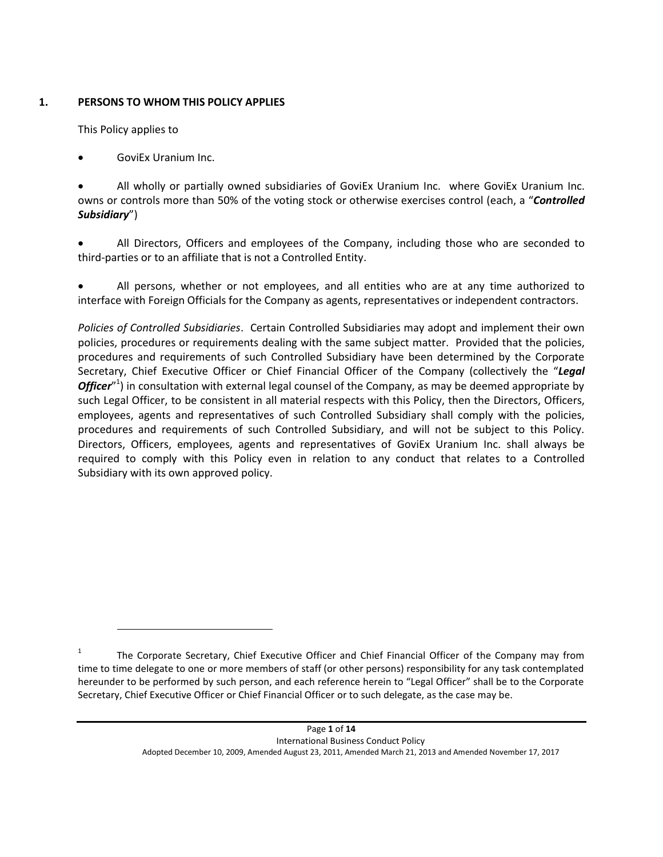## **1. PERSONS TO WHOM THIS POLICY APPLIES**

<span id="page-2-0"></span>This Policy applies to

 $\overline{a}$ 

GoviEx Uranium Inc.

 All wholly or partially owned subsidiaries of GoviEx Uranium Inc. where GoviEx Uranium Inc. owns or controls more than 50% of the voting stock or otherwise exercises control (each, a "*Controlled Subsidiary*")

 All Directors, Officers and employees of the Company, including those who are seconded to third-parties or to an affiliate that is not a Controlled Entity.

 All persons, whether or not employees, and all entities who are at any time authorized to interface with Foreign Officials for the Company as agents, representatives or independent contractors.

*Policies of Controlled Subsidiaries*. Certain Controlled Subsidiaries may adopt and implement their own policies, procedures or requirements dealing with the same subject matter. Provided that the policies, procedures and requirements of such Controlled Subsidiary have been determined by the Corporate Secretary, Chief Executive Officer or Chief Financial Officer of the Company (collectively the "*Legal*  Officer<sup>"1</sup>) in consultation with external legal counsel of the Company, as may be deemed appropriate by such Legal Officer, to be consistent in all material respects with this Policy, then the Directors, Officers, employees, agents and representatives of such Controlled Subsidiary shall comply with the policies, procedures and requirements of such Controlled Subsidiary, and will not be subject to this Policy. Directors, Officers, employees, agents and representatives of GoviEx Uranium Inc. shall always be required to comply with this Policy even in relation to any conduct that relates to a Controlled Subsidiary with its own approved policy.

<sup>1</sup> The Corporate Secretary, Chief Executive Officer and Chief Financial Officer of the Company may from time to time delegate to one or more members of staff (or other persons) responsibility for any task contemplated hereunder to be performed by such person, and each reference herein to "Legal Officer" shall be to the Corporate Secretary, Chief Executive Officer or Chief Financial Officer or to such delegate, as the case may be.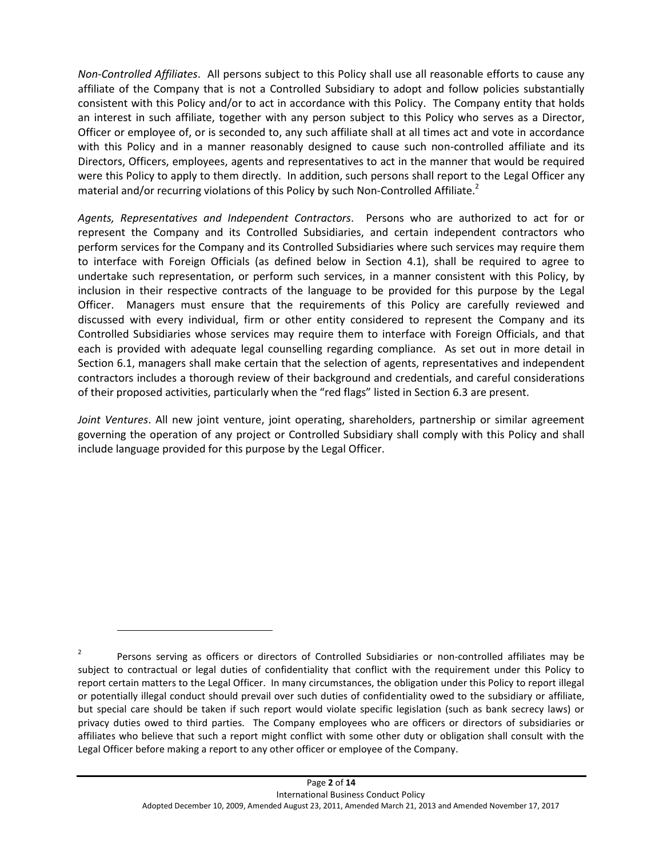*Non-Controlled Affiliates*. All persons subject to this Policy shall use all reasonable efforts to cause any affiliate of the Company that is not a Controlled Subsidiary to adopt and follow policies substantially consistent with this Policy and/or to act in accordance with this Policy. The Company entity that holds an interest in such affiliate, together with any person subject to this Policy who serves as a Director, Officer or employee of, or is seconded to, any such affiliate shall at all times act and vote in accordance with this Policy and in a manner reasonably designed to cause such non-controlled affiliate and its Directors, Officers, employees, agents and representatives to act in the manner that would be required were this Policy to apply to them directly. In addition, such persons shall report to the Legal Officer any material and/or recurring violations of this Policy by such Non-Controlled Affiliate.<sup>2</sup>

*Agents, Representatives and Independent Contractors*. Persons who are authorized to act for or represent the Company and its Controlled Subsidiaries, and certain independent contractors who perform services for the Company and its Controlled Subsidiaries where such services may require them to interface with Foreign Officials (as defined below in Section 4.1), shall be required to agree to undertake such representation, or perform such services, in a manner consistent with this Policy, by inclusion in their respective contracts of the language to be provided for this purpose by the Legal Officer. Managers must ensure that the requirements of this Policy are carefully reviewed and discussed with every individual, firm or other entity considered to represent the Company and its Controlled Subsidiaries whose services may require them to interface with Foreign Officials, and that each is provided with adequate legal counselling regarding compliance. As set out in more detail in Section 6.1, managers shall make certain that the selection of agents, representatives and independent contractors includes a thorough review of their background and credentials, and careful considerations of their proposed activities, particularly when the "red flags" listed in Section 6.3 are present.

*Joint Ventures*. All new joint venture, joint operating, shareholders, partnership or similar agreement governing the operation of any project or Controlled Subsidiary shall comply with this Policy and shall include language provided for this purpose by the Legal Officer.

 $\overline{a}$ 

<sup>2</sup> Persons serving as officers or directors of Controlled Subsidiaries or non-controlled affiliates may be subject to contractual or legal duties of confidentiality that conflict with the requirement under this Policy to report certain matters to the Legal Officer. In many circumstances, the obligation under this Policy to report illegal or potentially illegal conduct should prevail over such duties of confidentiality owed to the subsidiary or affiliate, but special care should be taken if such report would violate specific legislation (such as bank secrecy laws) or privacy duties owed to third parties. The Company employees who are officers or directors of subsidiaries or affiliates who believe that such a report might conflict with some other duty or obligation shall consult with the Legal Officer before making a report to any other officer or employee of the Company.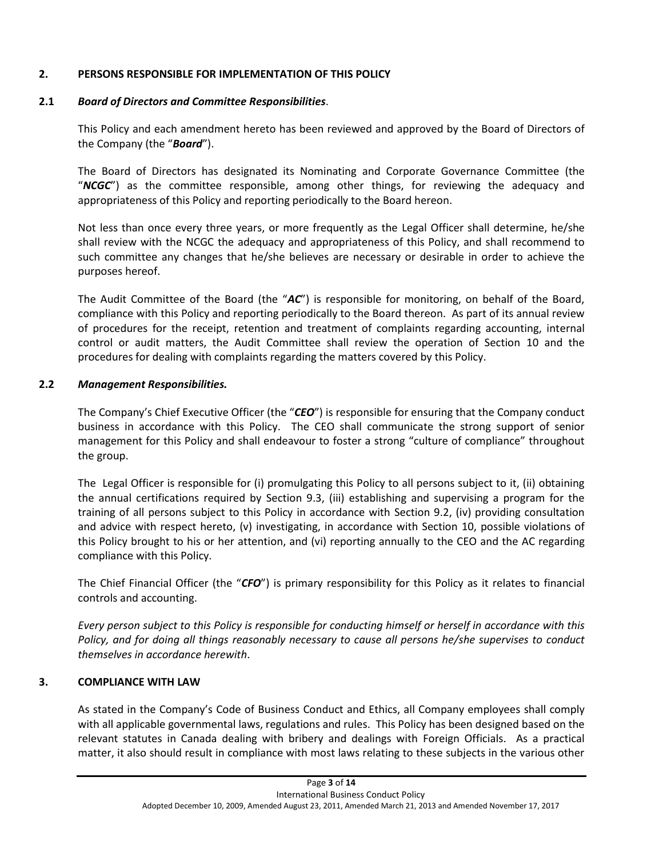## **2. PERSONS RESPONSIBLE FOR IMPLEMENTATION OF THIS POLICY**

## **2.1** *Board of Directors and Committee Responsibilities*.

This Policy and each amendment hereto has been reviewed and approved by the Board of Directors of the Company (the "*Board*").

The Board of Directors has designated its Nominating and Corporate Governance Committee (the "*NCGC*") as the committee responsible, among other things, for reviewing the adequacy and appropriateness of this Policy and reporting periodically to the Board hereon.

Not less than once every three years, or more frequently as the Legal Officer shall determine, he/she shall review with the NCGC the adequacy and appropriateness of this Policy, and shall recommend to such committee any changes that he/she believes are necessary or desirable in order to achieve the purposes hereof.

The Audit Committee of the Board (the "*AC*") is responsible for monitoring, on behalf of the Board, compliance with this Policy and reporting periodically to the Board thereon. As part of its annual review of procedures for the receipt, retention and treatment of complaints regarding accounting, internal control or audit matters, the Audit Committee shall review the operation of Section 10 and the procedures for dealing with complaints regarding the matters covered by this Policy.

## **2.2** *Management Responsibilities.*

The Company's Chief Executive Officer (the "*CEO*") is responsible for ensuring that the Company conduct business in accordance with this Policy. The CEO shall communicate the strong support of senior management for this Policy and shall endeavour to foster a strong "culture of compliance" throughout the group.

The Legal Officer is responsible for (i) promulgating this Policy to all persons subject to it, (ii) obtaining the annual certifications required by Section [9.3,](#page-14-0) (iii) establishing and supervising a program for the training of all persons subject to this Policy in accordance with Section [9.2,](#page-13-0) (iv) providing consultation and advice with respect hereto, (v) investigating, in accordance with Section [10,](#page-14-1) possible violations of this Policy brought to his or her attention, and (vi) reporting annually to the CEO and the AC regarding compliance with this Policy.

The Chief Financial Officer (the "*CFO*") is primary responsibility for this Policy as it relates to financial controls and accounting.

*Every person subject to this Policy is responsible for conducting himself or herself in accordance with this Policy, and for doing all things reasonably necessary to cause all persons he/she supervises to conduct themselves in accordance herewith*.

# **3. COMPLIANCE WITH LAW**

As stated in the Company's Code of Business Conduct and Ethics, all Company employees shall comply with all applicable governmental laws, regulations and rules. This Policy has been designed based on the relevant statutes in Canada dealing with bribery and dealings with Foreign Officials. As a practical matter, it also should result in compliance with most laws relating to these subjects in the various other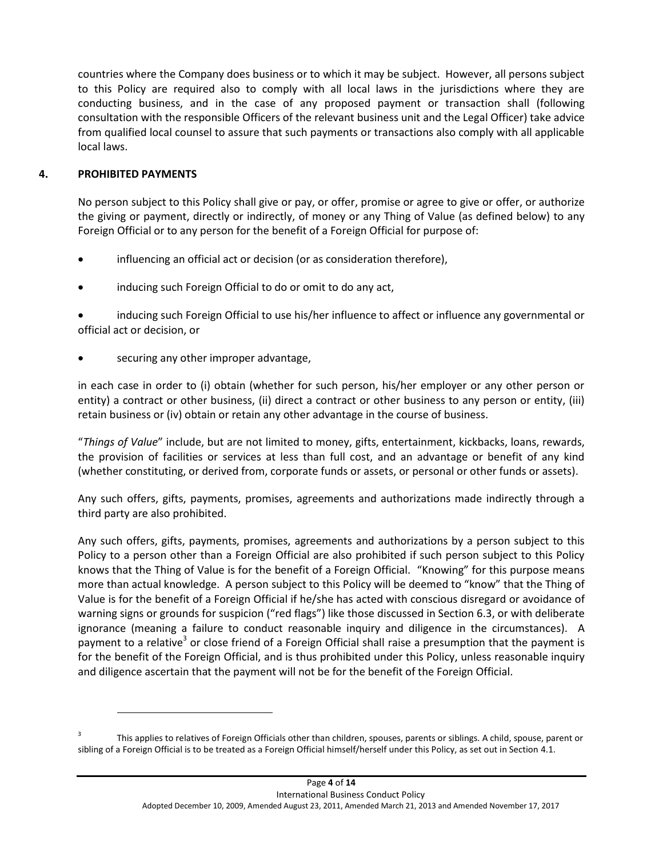countries where the Company does business or to which it may be subject. However, all persons subject to this Policy are required also to comply with all local laws in the jurisdictions where they are conducting business, and in the case of any proposed payment or transaction shall (following consultation with the responsible Officers of the relevant business unit and the Legal Officer) take advice from qualified local counsel to assure that such payments or transactions also comply with all applicable local laws.

# **4. PROHIBITED PAYMENTS**

 $\overline{a}$ 

No person subject to this Policy shall give or pay, or offer, promise or agree to give or offer, or authorize the giving or payment, directly or indirectly, of money or any Thing of Value (as defined below) to any Foreign Official or to any person for the benefit of a Foreign Official for purpose of:

- influencing an official act or decision (or as consideration therefore),
- inducing such Foreign Official to do or omit to do any act,

 inducing such Foreign Official to use his/her influence to affect or influence any governmental or official act or decision, or

securing any other improper advantage,

in each case in order to (i) obtain (whether for such person, his/her employer or any other person or entity) a contract or other business, (ii) direct a contract or other business to any person or entity, (iii) retain business or (iv) obtain or retain any other advantage in the course of business.

"*Things of Value*" include, but are not limited to money, gifts, entertainment, kickbacks, loans, rewards, the provision of facilities or services at less than full cost, and an advantage or benefit of any kind (whether constituting, or derived from, corporate funds or assets, or personal or other funds or assets).

Any such offers, gifts, payments, promises, agreements and authorizations made indirectly through a third party are also prohibited.

Any such offers, gifts, payments, promises, agreements and authorizations by a person subject to this Policy to a person other than a Foreign Official are also prohibited if such person subject to this Policy knows that the Thing of Value is for the benefit of a Foreign Official. "Knowing" for this purpose means more than actual knowledge. A person subject to this Policy will be deemed to "know" that the Thing of Value is for the benefit of a Foreign Official if he/she has acted with conscious disregard or avoidance of warning signs or grounds for suspicion ("red flags") like those discussed in Section [6.3,](#page-11-0) or with deliberate ignorance (meaning a failure to conduct reasonable inquiry and diligence in the circumstances). A payment to a relative<sup>3</sup> or close friend of a Foreign Official shall raise a presumption that the payment is for the benefit of the Foreign Official, and is thus prohibited under this Policy, unless reasonable inquiry and diligence ascertain that the payment will not be for the benefit of the Foreign Official.

<sup>3</sup> This applies to relatives of Foreign Officials other than children, spouses, parents or siblings. A child, spouse, parent or sibling of a Foreign Official is to be treated as a Foreign Official himself/herself under this Policy, as set out in Section 4.1.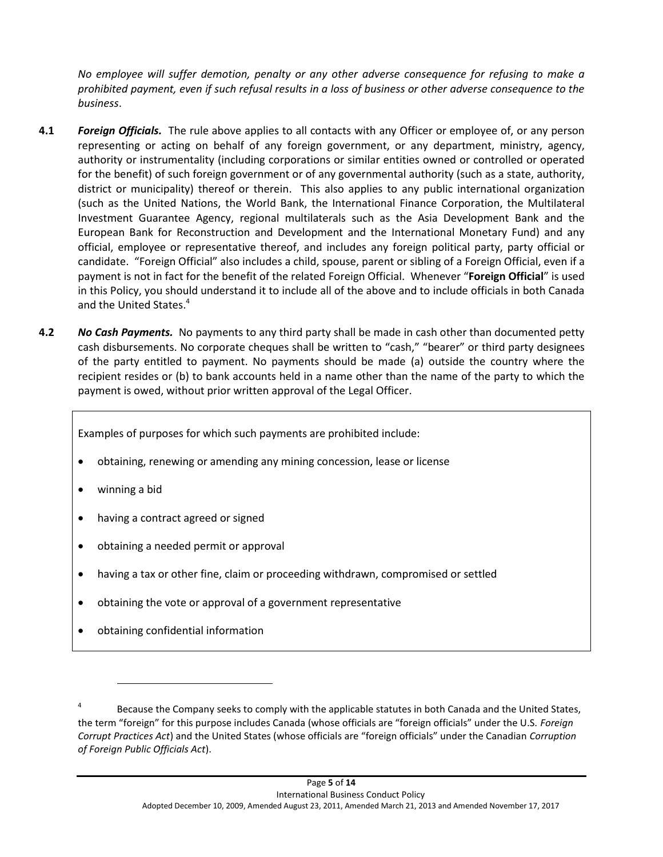*No employee will suffer demotion, penalty or any other adverse consequence for refusing to make a prohibited payment, even if such refusal results in a loss of business or other adverse consequence to the business*.

- **4.1** *Foreign Officials.* The rule above applies to all contacts with any Officer or employee of, or any person representing or acting on behalf of any foreign government, or any department, ministry, agency, authority or instrumentality (including corporations or similar entities owned or controlled or operated for the benefit) of such foreign government or of any governmental authority (such as a state, authority, district or municipality) thereof or therein. This also applies to any public international organization (such as the United Nations, the World Bank, the International Finance Corporation, the Multilateral Investment Guarantee Agency, regional multilaterals such as the Asia Development Bank and the European Bank for Reconstruction and Development and the International Monetary Fund) and any official, employee or representative thereof, and includes any foreign political party, party official or candidate. "Foreign Official" also includes a child, spouse, parent or sibling of a Foreign Official, even if a payment is not in fact for the benefit of the related Foreign Official. Whenever "**Foreign Official**" is used in this Policy, you should understand it to include all of the above and to include officials in both Canada and the United States. 4
- **4.2** *No Cash Payments.* No payments to any third party shall be made in cash other than documented petty cash disbursements. No corporate cheques shall be written to "cash," "bearer" or third party designees of the party entitled to payment. No payments should be made (a) outside the country where the recipient resides or (b) to bank accounts held in a name other than the name of the party to which the payment is owed, without prior written approval of the Legal Officer.

Examples of purposes for which such payments are prohibited include:

- obtaining, renewing or amending any mining concession, lease or license
- winning a bid

 $\overline{a}$ 

- having a contract agreed or signed
- obtaining a needed permit or approval
- having a tax or other fine, claim or proceeding withdrawn, compromised or settled
- obtaining the vote or approval of a government representative
- obtaining confidential information

<sup>4</sup> Because the Company seeks to comply with the applicable statutes in both Canada and the United States, the term "foreign" for this purpose includes Canada (whose officials are "foreign officials" under the U.S. *Foreign Corrupt Practices Act*) and the United States (whose officials are "foreign officials" under the Canadian *Corruption of Foreign Public Officials Act*).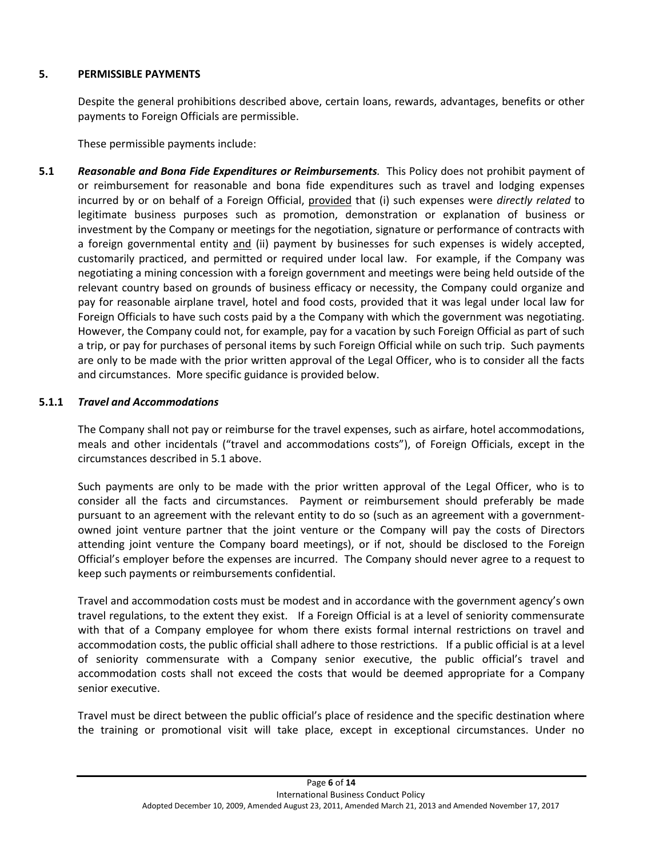### **5. PERMISSIBLE PAYMENTS**

Despite the general prohibitions described above, certain loans, rewards, advantages, benefits or other payments to Foreign Officials are permissible.

<span id="page-7-0"></span>These permissible payments include:

**5.1** *Reasonable and Bona Fide Expenditures or Reimbursements.* This Policy does not prohibit payment of or reimbursement for reasonable and bona fide expenditures such as travel and lodging expenses incurred by or on behalf of a Foreign Official, provided that (i) such expenses were *directly related* to legitimate business purposes such as promotion, demonstration or explanation of business or investment by the Company or meetings for the negotiation, signature or performance of contracts with a foreign governmental entity and (ii) payment by businesses for such expenses is widely accepted, customarily practiced, and permitted or required under local law. For example, if the Company was negotiating a mining concession with a foreign government and meetings were being held outside of the relevant country based on grounds of business efficacy or necessity, the Company could organize and pay for reasonable airplane travel, hotel and food costs, provided that it was legal under local law for Foreign Officials to have such costs paid by a the Company with which the government was negotiating. However, the Company could not, for example, pay for a vacation by such Foreign Official as part of such a trip, or pay for purchases of personal items by such Foreign Official while on such trip. Such payments are only to be made with the prior written approval of the Legal Officer, who is to consider all the facts and circumstances. More specific guidance is provided below.

## **5.1.1** *Travel and Accommodations*

The Company shall not pay or reimburse for the travel expenses, such as airfare, hotel accommodations, meals and other incidentals ("travel and accommodations costs"), of Foreign Officials, except in the circumstances described in [5.1](#page-7-0) above.

Such payments are only to be made with the prior written approval of the Legal Officer, who is to consider all the facts and circumstances. Payment or reimbursement should preferably be made pursuant to an agreement with the relevant entity to do so (such as an agreement with a governmentowned joint venture partner that the joint venture or the Company will pay the costs of Directors attending joint venture the Company board meetings), or if not, should be disclosed to the Foreign Official's employer before the expenses are incurred. The Company should never agree to a request to keep such payments or reimbursements confidential.

Travel and accommodation costs must be modest and in accordance with the government agency's own travel regulations, to the extent they exist. If a Foreign Official is at a level of seniority commensurate with that of a Company employee for whom there exists formal internal restrictions on travel and accommodation costs, the public official shall adhere to those restrictions. If a public official is at a level of seniority commensurate with a Company senior executive, the public official's travel and accommodation costs shall not exceed the costs that would be deemed appropriate for a Company senior executive.

Travel must be direct between the public official's place of residence and the specific destination where the training or promotional visit will take place, except in exceptional circumstances. Under no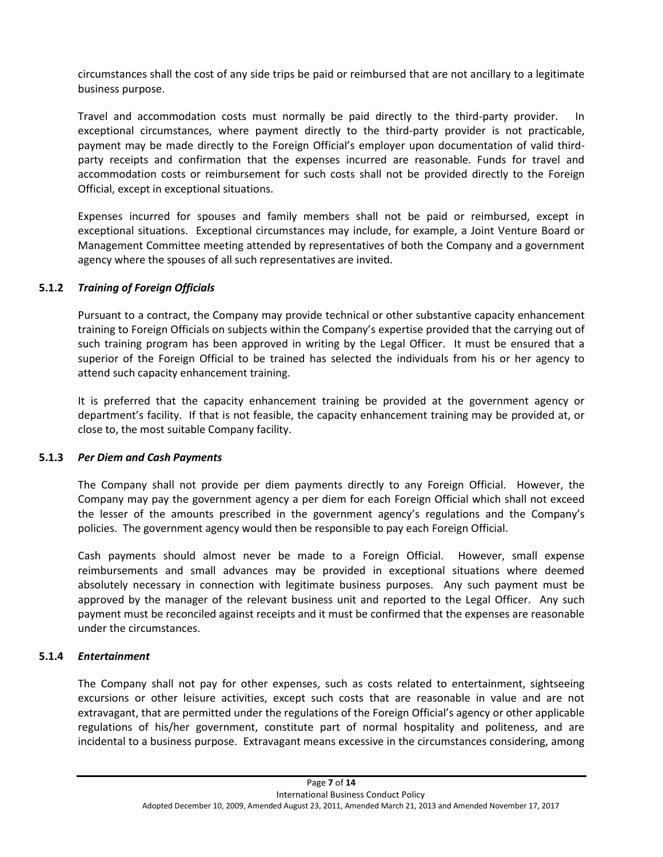circumstances shall the cost of any side trips be paid or reimbursed that are not ancillary to a legitimate business purpose.

Travel and accommodation costs must normally be paid directly to the third-party provider. In exceptional circumstances, where payment directly to the third-party provider is not practicable, payment may be made directly to the Foreign Official's employer upon documentation of valid thirdparty receipts and confirmation that the expenses incurred are reasonable. Funds for travel and accommodation costs or reimbursement for such costs shall not be provided directly to the Foreign Official, except in exceptional situations.

Expenses incurred for spouses and family members shall not be paid or reimbursed, except in exceptional situations. Exceptional circumstances may include, for example, a Joint Venture Board or Management Committee meeting attended by representatives of both the Company and a government agency where the spouses of all such representatives are invited.

### **5.1.2** *Training of Foreign Officials*

Pursuant to a contract, the Company may provide technical or other substantive capacity enhancement training to Foreign Officials on subjects within the Company's expertise provided that the carrying out of such training program has been approved in writing by the Legal Officer. It must be ensured that a superior of the Foreign Official to be trained has selected the individuals from his or her agency to attend such capacity enhancement training.

It is preferred that the capacity enhancement training be provided at the government agency or department's facility. If that is not feasible, the capacity enhancement training may be provided at, or close to, the most suitable Company facility.

### **5.1.3** *Per Diem and Cash Payments*

The Company shall not provide per diem payments directly to any Foreign Official. However, the Company may pay the government agency a per diem for each Foreign Official which shall not exceed the lesser of the amounts prescribed in the government agency's regulations and the Company's policies. The government agency would then be responsible to pay each Foreign Official.

Cash payments should almost never be made to a Foreign Official. However, small expense reimbursements and small advances may be provided in exceptional situations where deemed absolutely necessary in connection with legitimate business purposes. Any such payment must be approved by the manager of the relevant business unit and reported to the Legal Officer. Any such payment must be reconciled against receipts and it must be confirmed that the expenses are reasonable under the circumstances.

### **5.1.4** *Entertainment*

The Company shall not pay for other expenses, such as costs related to entertainment, sightseeing excursions or other leisure activities, except such costs that are reasonable in value and are not extravagant, that are permitted under the regulations of the Foreign Official's agency or other applicable regulations of his/her government, constitute part of normal hospitality and politeness, and are incidental to a business purpose. Extravagant means excessive in the circumstances considering, among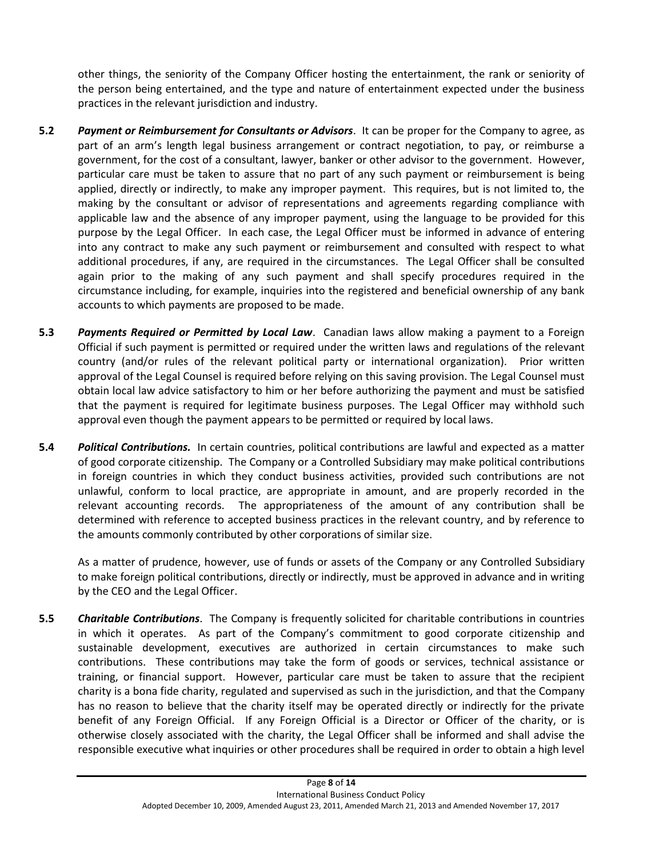other things, the seniority of the Company Officer hosting the entertainment, the rank or seniority of the person being entertained, and the type and nature of entertainment expected under the business practices in the relevant jurisdiction and industry.

- **5.2** *Payment or Reimbursement for Consultants or Advisors*. It can be proper for the Company to agree, as part of an arm's length legal business arrangement or contract negotiation, to pay, or reimburse a government, for the cost of a consultant, lawyer, banker or other advisor to the government. However, particular care must be taken to assure that no part of any such payment or reimbursement is being applied, directly or indirectly, to make any improper payment. This requires, but is not limited to, the making by the consultant or advisor of representations and agreements regarding compliance with applicable law and the absence of any improper payment, using the language to be provided for this purpose by the Legal Officer. In each case, the Legal Officer must be informed in advance of entering into any contract to make any such payment or reimbursement and consulted with respect to what additional procedures, if any, are required in the circumstances. The Legal Officer shall be consulted again prior to the making of any such payment and shall specify procedures required in the circumstance including, for example, inquiries into the registered and beneficial ownership of any bank accounts to which payments are proposed to be made.
- **5.3** *Payments Required or Permitted by Local Law*. Canadian laws allow making a payment to a Foreign Official if such payment is permitted or required under the written laws and regulations of the relevant country (and/or rules of the relevant political party or international organization). Prior written approval of the Legal Counsel is required before relying on this saving provision. The Legal Counsel must obtain local law advice satisfactory to him or her before authorizing the payment and must be satisfied that the payment is required for legitimate business purposes. The Legal Officer may withhold such approval even though the payment appears to be permitted or required by local laws.
- **5.4** *Political Contributions.* In certain countries, political contributions are lawful and expected as a matter of good corporate citizenship. The Company or a Controlled Subsidiary may make political contributions in foreign countries in which they conduct business activities, provided such contributions are not unlawful, conform to local practice, are appropriate in amount, and are properly recorded in the relevant accounting records. The appropriateness of the amount of any contribution shall be determined with reference to accepted business practices in the relevant country, and by reference to the amounts commonly contributed by other corporations of similar size.

As a matter of prudence, however, use of funds or assets of the Company or any Controlled Subsidiary to make foreign political contributions, directly or indirectly, must be approved in advance and in writing by the CEO and the Legal Officer.

**5.5** *Charitable Contributions*. The Company is frequently solicited for charitable contributions in countries in which it operates. As part of the Company's commitment to good corporate citizenship and sustainable development, executives are authorized in certain circumstances to make such contributions. These contributions may take the form of goods or services, technical assistance or training, or financial support. However, particular care must be taken to assure that the recipient charity is a bona fide charity, regulated and supervised as such in the jurisdiction, and that the Company has no reason to believe that the charity itself may be operated directly or indirectly for the private benefit of any Foreign Official. If any Foreign Official is a Director or Officer of the charity, or is otherwise closely associated with the charity, the Legal Officer shall be informed and shall advise the responsible executive what inquiries or other procedures shall be required in order to obtain a high level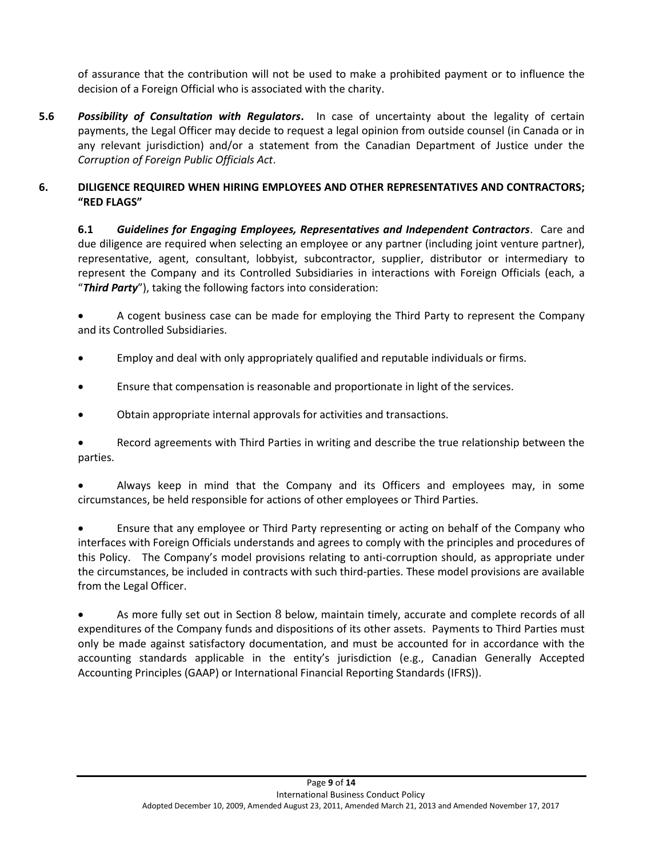of assurance that the contribution will not be used to make a prohibited payment or to influence the decision of a Foreign Official who is associated with the charity.

**5.6** *Possibility of Consultation with Regulators***.** In case of uncertainty about the legality of certain payments, the Legal Officer may decide to request a legal opinion from outside counsel (in Canada or in any relevant jurisdiction) and/or a statement from the Canadian Department of Justice under the *Corruption of Foreign Public Officials Act*.

## <span id="page-10-0"></span>**6. DILIGENCE REQUIRED WHEN HIRING EMPLOYEES AND OTHER REPRESENTATIVES AND CONTRACTORS; "RED FLAGS"**

**6.1** *Guidelines for Engaging Employees, Representatives and Independent Contractors*. Care and due diligence are required when selecting an employee or any partner (including joint venture partner), representative, agent, consultant, lobbyist, subcontractor, supplier, distributor or intermediary to represent the Company and its Controlled Subsidiaries in interactions with Foreign Officials (each, a "*Third Party*"), taking the following factors into consideration:

 A cogent business case can be made for employing the Third Party to represent the Company and its Controlled Subsidiaries.

- Employ and deal with only appropriately qualified and reputable individuals or firms.
- Ensure that compensation is reasonable and proportionate in light of the services.
- Obtain appropriate internal approvals for activities and transactions.

 Record agreements with Third Parties in writing and describe the true relationship between the parties.

 Always keep in mind that the Company and its Officers and employees may, in some circumstances, be held responsible for actions of other employees or Third Parties.

 Ensure that any employee or Third Party representing or acting on behalf of the Company who interfaces with Foreign Officials understands and agrees to comply with the principles and procedures of this Policy. The Company's model provisions relating to anti-corruption should, as appropriate under the circumstances, be included in contracts with such third-parties. These model provisions are available from the Legal Officer.

 As more fully set out in Section [8](#page-12-0) below, maintain timely, accurate and complete records of all expenditures of the Company funds and dispositions of its other assets. Payments to Third Parties must only be made against satisfactory documentation, and must be accounted for in accordance with the accounting standards applicable in the entity's jurisdiction (e.g., Canadian Generally Accepted Accounting Principles (GAAP) or International Financial Reporting Standards (IFRS)).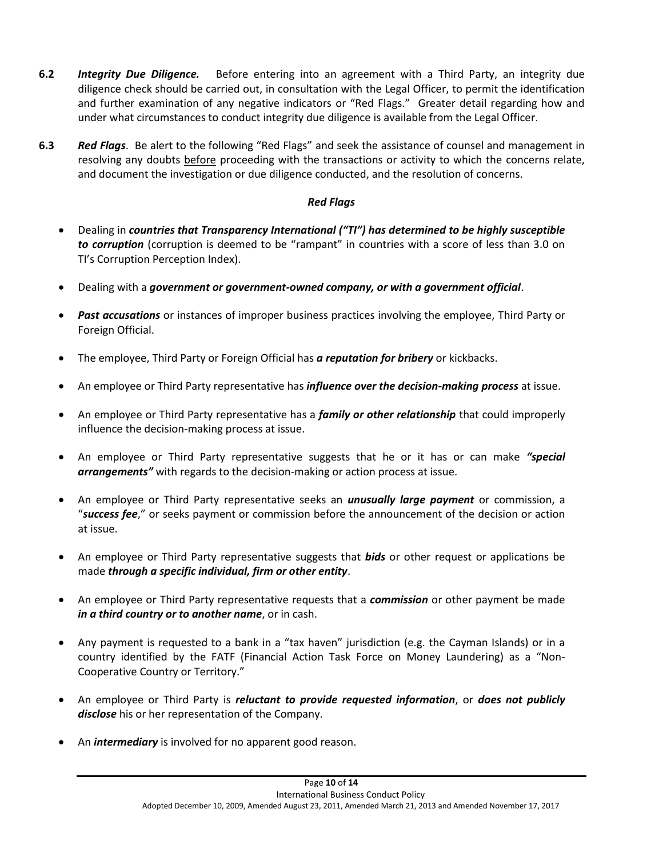- **6.2** *Integrity Due Diligence.* Before entering into an agreement with a Third Party, an integrity due diligence check should be carried out, in consultation with the Legal Officer, to permit the identification and further examination of any negative indicators or "Red Flags." Greater detail regarding how and under what circumstances to conduct integrity due diligence is available from the Legal Officer.
- <span id="page-11-0"></span>**6.3** *Red Flags*. Be alert to the following "Red Flags" and seek the assistance of counsel and management in resolving any doubts before proceeding with the transactions or activity to which the concerns relate, and document the investigation or due diligence conducted, and the resolution of concerns.

## *Red Flags*

- Dealing in *countries that Transparency International ("TI") has determined to be highly susceptible to corruption* (corruption is deemed to be "rampant" in countries with a score of less than 3.0 on TI's Corruption Perception Index).
- Dealing with a *government or government-owned company, or with a government official*.
- *Past accusations* or instances of improper business practices involving the employee, Third Party or Foreign Official.
- The employee, Third Party or Foreign Official has *a reputation for bribery* or kickbacks.
- An employee or Third Party representative has *influence over the decision-making process* at issue.
- An employee or Third Party representative has a *family or other relationship* that could improperly influence the decision-making process at issue.
- An employee or Third Party representative suggests that he or it has or can make *"special arrangements"* with regards to the decision-making or action process at issue.
- An employee or Third Party representative seeks an *unusually large payment* or commission, a "*success fee*," or seeks payment or commission before the announcement of the decision or action at issue.
- An employee or Third Party representative suggests that *bids* or other request or applications be made *through a specific individual, firm or other entity*.
- An employee or Third Party representative requests that a *commission* or other payment be made *in a third country or to another name*, or in cash.
- Any payment is requested to a bank in a "tax haven" jurisdiction (e.g. the Cayman Islands) or in a country identified by the FATF (Financial Action Task Force on Money Laundering) as a "Non-Cooperative Country or Territory."
- An employee or Third Party is *reluctant to provide requested information*, or *does not publicly disclose* his or her representation of the Company.
- An *intermediary* is involved for no apparent good reason.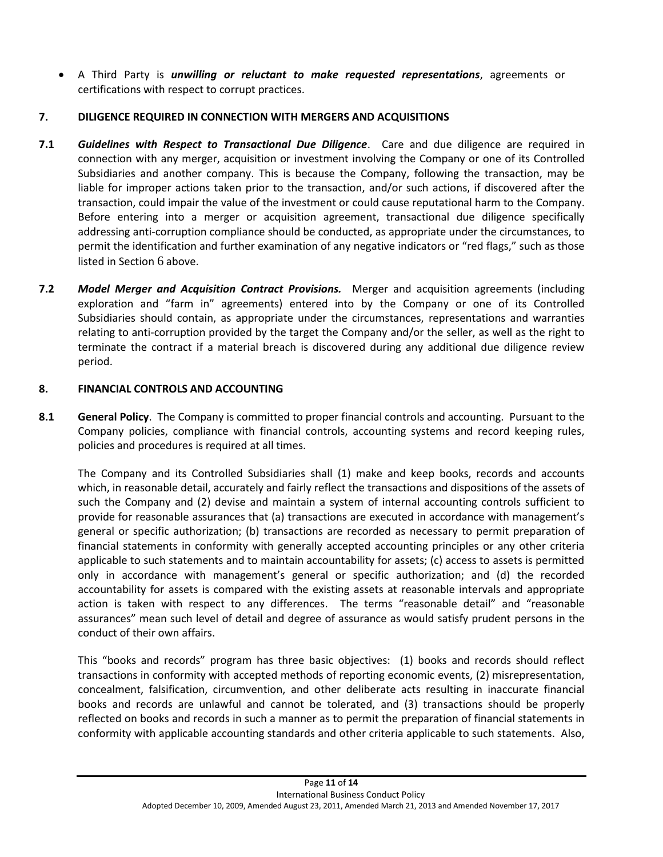A Third Party is *unwilling or reluctant to make requested representations*, agreements or certifications with respect to corrupt practices.

# **7. DILIGENCE REQUIRED IN CONNECTION WITH MERGERS AND ACQUISITIONS**

- **7.1** *Guidelines with Respect to Transactional Due Diligence*. Care and due diligence are required in connection with any merger, acquisition or investment involving the Company or one of its Controlled Subsidiaries and another company. This is because the Company, following the transaction, may be liable for improper actions taken prior to the transaction, and/or such actions, if discovered after the transaction, could impair the value of the investment or could cause reputational harm to the Company. Before entering into a merger or acquisition agreement, transactional due diligence specifically addressing anti-corruption compliance should be conducted, as appropriate under the circumstances, to permit the identification and further examination of any negative indicators or "red flags," such as those listed in Section [6](#page-10-0) above.
- **7.2** *Model Merger and Acquisition Contract Provisions.* Merger and acquisition agreements (including exploration and "farm in" agreements) entered into by the Company or one of its Controlled Subsidiaries should contain, as appropriate under the circumstances, representations and warranties relating to anti-corruption provided by the target the Company and/or the seller, as well as the right to terminate the contract if a material breach is discovered during any additional due diligence review period.

# <span id="page-12-0"></span>**8. FINANCIAL CONTROLS AND ACCOUNTING**

**8.1 General Policy**. The Company is committed to proper financial controls and accounting. Pursuant to the Company policies, compliance with financial controls, accounting systems and record keeping rules, policies and procedures is required at all times.

The Company and its Controlled Subsidiaries shall (1) make and keep books, records and accounts which, in reasonable detail, accurately and fairly reflect the transactions and dispositions of the assets of such the Company and (2) devise and maintain a system of internal accounting controls sufficient to provide for reasonable assurances that (a) transactions are executed in accordance with management's general or specific authorization; (b) transactions are recorded as necessary to permit preparation of financial statements in conformity with generally accepted accounting principles or any other criteria applicable to such statements and to maintain accountability for assets; (c) access to assets is permitted only in accordance with management's general or specific authorization; and (d) the recorded accountability for assets is compared with the existing assets at reasonable intervals and appropriate action is taken with respect to any differences. The terms "reasonable detail" and "reasonable assurances" mean such level of detail and degree of assurance as would satisfy prudent persons in the conduct of their own affairs.

This "books and records" program has three basic objectives: (1) books and records should reflect transactions in conformity with accepted methods of reporting economic events, (2) misrepresentation, concealment, falsification, circumvention, and other deliberate acts resulting in inaccurate financial books and records are unlawful and cannot be tolerated, and (3) transactions should be properly reflected on books and records in such a manner as to permit the preparation of financial statements in conformity with applicable accounting standards and other criteria applicable to such statements. Also,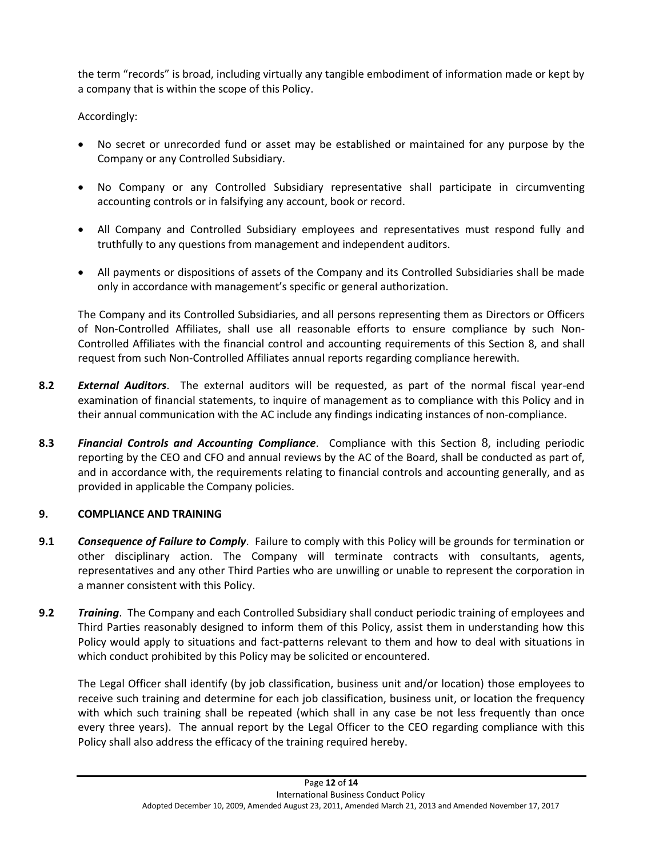the term "records" is broad, including virtually any tangible embodiment of information made or kept by a company that is within the scope of this Policy.

Accordingly:

- No secret or unrecorded fund or asset may be established or maintained for any purpose by the Company or any Controlled Subsidiary.
- No Company or any Controlled Subsidiary representative shall participate in circumventing accounting controls or in falsifying any account, book or record.
- All Company and Controlled Subsidiary employees and representatives must respond fully and truthfully to any questions from management and independent auditors.
- All payments or dispositions of assets of the Company and its Controlled Subsidiaries shall be made only in accordance with management's specific or general authorization.

The Company and its Controlled Subsidiaries, and all persons representing them as Directors or Officers of Non-Controlled Affiliates, shall use all reasonable efforts to ensure compliance by such Non-Controlled Affiliates with the financial control and accounting requirements of this Section 8, and shall request from such Non-Controlled Affiliates annual reports regarding compliance herewith.

- **8.2** *External Auditors*.The external auditors will be requested, as part of the normal fiscal year-end examination of financial statements, to inquire of management as to compliance with this Policy and in their annual communication with the AC include any findings indicating instances of non-compliance.
- **8.3** *Financial Controls and Accounting Compliance*. Compliance with this Section [8](#page-12-0), including periodic reporting by the CEO and CFO and annual reviews by the AC of the Board, shall be conducted as part of, and in accordance with, the requirements relating to financial controls and accounting generally, and as provided in applicable the Company policies.

# **9. COMPLIANCE AND TRAINING**

- **9.1** *Consequence of Failure to Comply*.Failure to comply with this Policy will be grounds for termination or other disciplinary action. The Company will terminate contracts with consultants, agents, representatives and any other Third Parties who are unwilling or unable to represent the corporation in a manner consistent with this Policy.
- <span id="page-13-0"></span>**9.2** *Training*. The Company and each Controlled Subsidiary shall conduct periodic training of employees and Third Parties reasonably designed to inform them of this Policy, assist them in understanding how this Policy would apply to situations and fact-patterns relevant to them and how to deal with situations in which conduct prohibited by this Policy may be solicited or encountered.

The Legal Officer shall identify (by job classification, business unit and/or location) those employees to receive such training and determine for each job classification, business unit, or location the frequency with which such training shall be repeated (which shall in any case be not less frequently than once every three years). The annual report by the Legal Officer to the CEO regarding compliance with this Policy shall also address the efficacy of the training required hereby.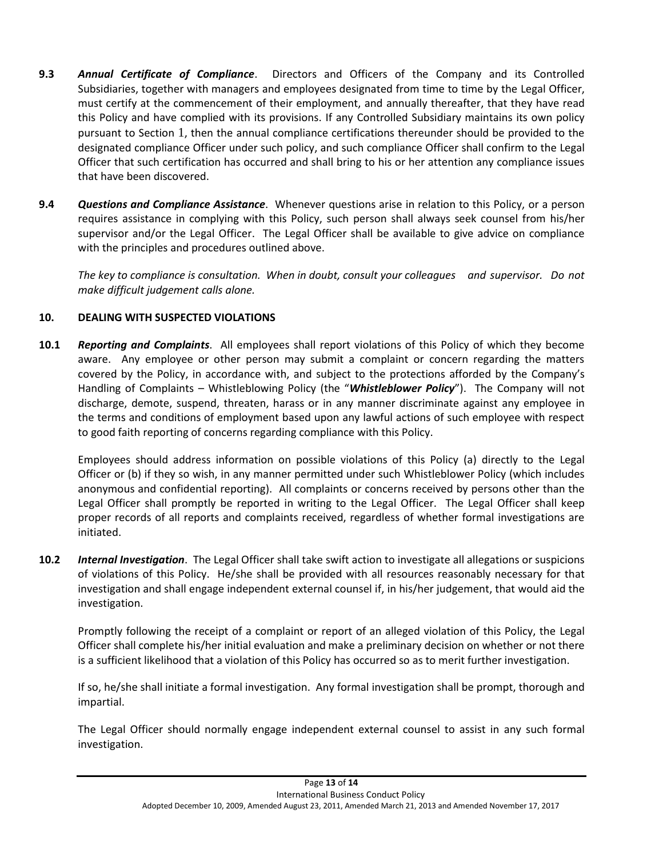- <span id="page-14-0"></span>**9.3** *Annual Certificate of Compliance*. Directors and Officers of the Company and its Controlled Subsidiaries, together with managers and employees designated from time to time by the Legal Officer, must certify at the commencement of their employment, and annually thereafter, that they have read this Policy and have complied with its provisions. If any Controlled Subsidiary maintains its own policy pursuant to Section [1](#page-2-0), then the annual compliance certifications thereunder should be provided to the designated compliance Officer under such policy, and such compliance Officer shall confirm to the Legal Officer that such certification has occurred and shall bring to his or her attention any compliance issues that have been discovered.
- **9.4** *Questions and Compliance Assistance*. Whenever questions arise in relation to this Policy, or a person requires assistance in complying with this Policy, such person shall always seek counsel from his/her supervisor and/or the Legal Officer. The Legal Officer shall be available to give advice on compliance with the principles and procedures outlined above.

*The key to compliance is consultation. When in doubt, consult your colleagues and supervisor. Do not make difficult judgement calls alone.* 

# <span id="page-14-1"></span>**10. DEALING WITH SUSPECTED VIOLATIONS**

**10.1** *Reporting and Complaints*. All employees shall report violations of this Policy of which they become aware. Any employee or other person may submit a complaint or concern regarding the matters covered by the Policy, in accordance with, and subject to the protections afforded by the Company's Handling of Complaints – Whistleblowing Policy (the "*Whistleblower Policy*"). The Company will not discharge, demote, suspend, threaten, harass or in any manner discriminate against any employee in the terms and conditions of employment based upon any lawful actions of such employee with respect to good faith reporting of concerns regarding compliance with this Policy.

Employees should address information on possible violations of this Policy (a) directly to the Legal Officer or (b) if they so wish, in any manner permitted under such Whistleblower Policy (which includes anonymous and confidential reporting). All complaints or concerns received by persons other than the Legal Officer shall promptly be reported in writing to the Legal Officer. The Legal Officer shall keep proper records of all reports and complaints received, regardless of whether formal investigations are initiated.

**10.2** *Internal Investigation*. The Legal Officer shall take swift action to investigate all allegations or suspicions of violations of this Policy. He/she shall be provided with all resources reasonably necessary for that investigation and shall engage independent external counsel if, in his/her judgement, that would aid the investigation.

Promptly following the receipt of a complaint or report of an alleged violation of this Policy, the Legal Officer shall complete his/her initial evaluation and make a preliminary decision on whether or not there is a sufficient likelihood that a violation of this Policy has occurred so as to merit further investigation.

If so, he/she shall initiate a formal investigation. Any formal investigation shall be prompt, thorough and impartial.

The Legal Officer should normally engage independent external counsel to assist in any such formal investigation.